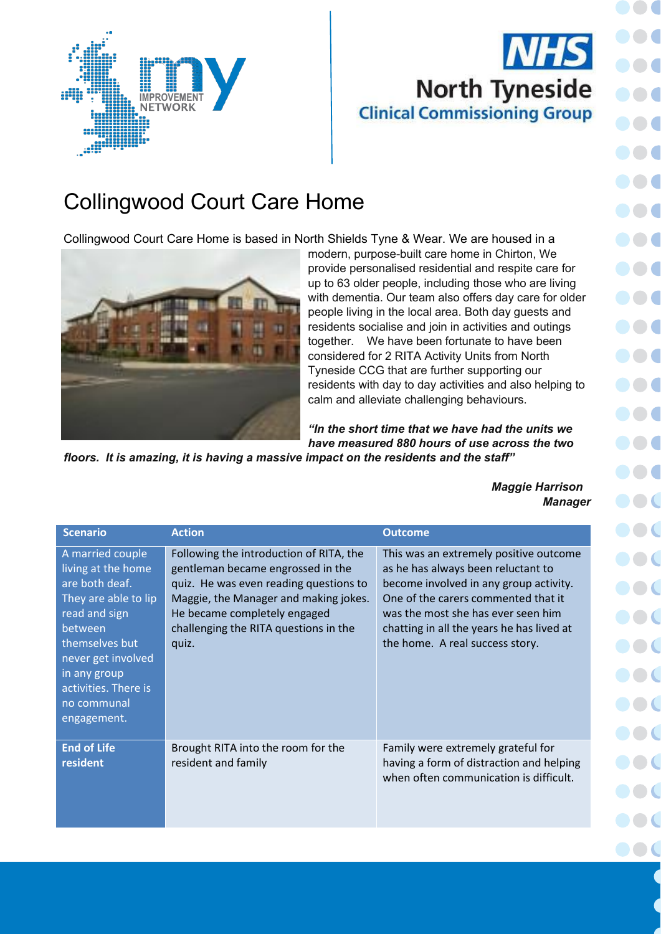

## **NHS North Tyneside Clinical Commissioning Group**

## Collingwood Court Care Home

Collingwood Court Care Home is based in North Shields Tyne & Wear. We are housed in a



modern, purpose-built care home in Chirton, We provide personalised residential and respite care for up to 63 older people, including those who are living with dementia. Our team also offers day care for older people living in the local area. Both day guests and residents socialise and join in activities and outings together. We have been fortunate to have been considered for 2 RITA Activity Units from North Tyneside CCG that are further supporting our residents with day to day activities and also helping to calm and alleviate challenging behaviours.

*"In the short time that we have had the units we have measured 880 hours of use across the two* 

*floors. It is amazing, it is having a massive impact on the residents and the staff"*

*Maggie Harrison Manager*

| <b>Scenario</b>                                                                                                                                                                                                            | <b>Action</b>                                                                                                                                                                                                                                     | <b>Outcome</b>                                                                                                                                                                                                                                                                      |
|----------------------------------------------------------------------------------------------------------------------------------------------------------------------------------------------------------------------------|---------------------------------------------------------------------------------------------------------------------------------------------------------------------------------------------------------------------------------------------------|-------------------------------------------------------------------------------------------------------------------------------------------------------------------------------------------------------------------------------------------------------------------------------------|
| A married couple<br>living at the home<br>are both deaf.<br>They are able to lip<br>read and sign<br>between<br>themselves but<br>never get involved<br>in any group<br>activities. There is<br>no communal<br>engagement. | Following the introduction of RITA, the<br>gentleman became engrossed in the<br>quiz. He was even reading questions to<br>Maggie, the Manager and making jokes.<br>He became completely engaged<br>challenging the RITA questions in the<br>quiz. | This was an extremely positive outcome<br>as he has always been reluctant to<br>become involved in any group activity.<br>One of the carers commented that it<br>was the most she has ever seen him<br>chatting in all the years he has lived at<br>the home. A real success story. |
| <b>End of Life</b><br>resident                                                                                                                                                                                             | Brought RITA into the room for the<br>resident and family                                                                                                                                                                                         | Family were extremely grateful for<br>having a form of distraction and helping<br>when often communication is difficult.                                                                                                                                                            |